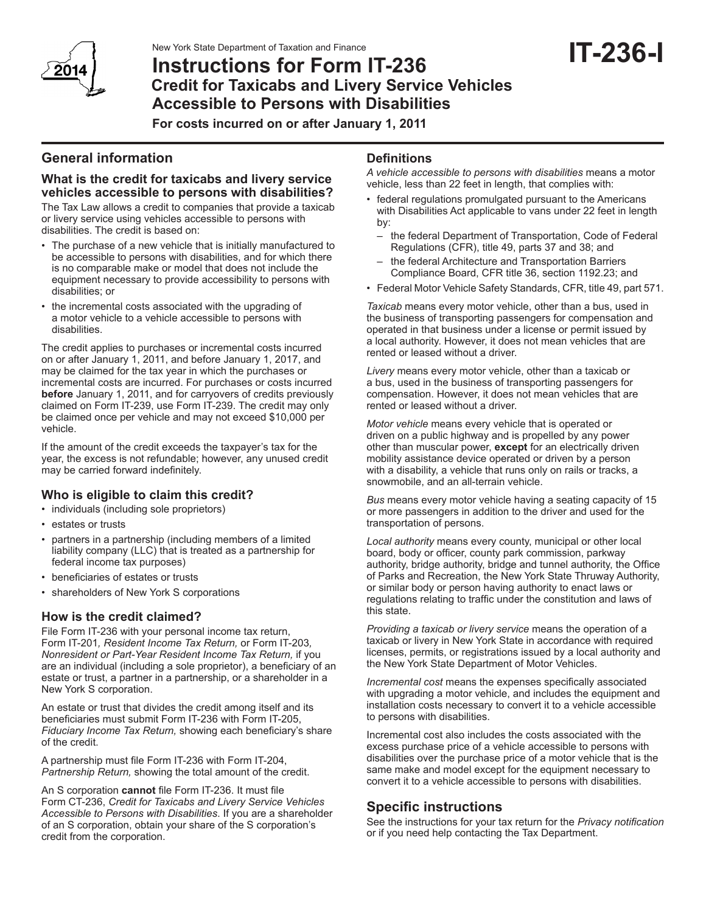

# **IT-236-I** New York State Department of Taxation and Finance **Instructions for Form IT-236 Credit for Taxicabs and Livery Service Vehicles Accessible to Persons with Disabilities**

**For costs incurred on or after January 1, 2011**

# **General information**

#### **What is the credit for taxicabs and livery service vehicles accessible to persons with disabilities?**

The Tax Law allows a credit to companies that provide a taxicab or livery service using vehicles accessible to persons with disabilities. The credit is based on:

- • The purchase of a new vehicle that is initially manufactured to be accessible to persons with disabilities, and for which there is no comparable make or model that does not include the equipment necessary to provide accessibility to persons with disabilities; or
- the incremental costs associated with the upgrading of a motor vehicle to a vehicle accessible to persons with disabilities.

The credit applies to purchases or incremental costs incurred on or after January 1, 2011, and before January 1, 2017, and may be claimed for the tax year in which the purchases or incremental costs are incurred. For purchases or costs incurred **before** January 1, 2011, and for carryovers of credits previously claimed on Form IT-239, use Form IT-239. The credit may only be claimed once per vehicle and may not exceed \$10,000 per vehicle.

If the amount of the credit exceeds the taxpayer's tax for the year, the excess is not refundable; however, any unused credit may be carried forward indefinitely.

#### **Who is eligible to claim this credit?**

- individuals (including sole proprietors)
- • estates or trusts
- partners in a partnership (including members of a limited liability company (LLC) that is treated as a partnership for federal income tax purposes)
- • beneficiaries of estates or trusts
- shareholders of New York S corporations

#### **How is the credit claimed?**

File Form IT-236 with your personal income tax return, Form IT-201*, Resident Income Tax Return,* or Form IT-203*, Nonresident or Part-Year Resident Income Tax Return,* if you are an individual (including a sole proprietor), a beneficiary of an estate or trust, a partner in a partnership, or a shareholder in a New York S corporation.

An estate or trust that divides the credit among itself and its beneficiaries must submit Form IT-236 with Form IT-205, *Fiduciary Income Tax Return,* showing each beneficiary's share of the credit.

A partnership must file Form IT-236 with Form IT-204, *Partnership Return,* showing the total amount of the credit.

An S corporation **cannot** file Form IT-236. It must file Form CT-236, *Credit for Taxicabs and Livery Service Vehicles Accessible to Persons with Disabilities*. If you are a shareholder of an S corporation, obtain your share of the S corporation's credit from the corporation.

#### **Definitions**

*A vehicle accessible to persons with disabilities* means a motor vehicle, less than 22 feet in length, that complies with:

- federal regulations promulgated pursuant to the Americans with Disabilities Act applicable to vans under 22 feet in length by:
	- the federal Department of Transportation, Code of Federal Regulations (CFR), title 49, parts 37 and 38; and
	- the federal Architecture and Transportation Barriers Compliance Board, CFR title 36, section 1192.23; and
- Federal Motor Vehicle Safety Standards, CFR, title 49, part 571.

*Taxicab* means every motor vehicle, other than a bus, used in the business of transporting passengers for compensation and operated in that business under a license or permit issued by a local authority. However, it does not mean vehicles that are rented or leased without a driver.

*Livery* means every motor vehicle, other than a taxicab or a bus, used in the business of transporting passengers for compensation. However, it does not mean vehicles that are rented or leased without a driver.

*Motor vehicle* means every vehicle that is operated or driven on a public highway and is propelled by any power other than muscular power, **except** for an electrically driven mobility assistance device operated or driven by a person with a disability, a vehicle that runs only on rails or tracks, a snowmobile, and an all-terrain vehicle.

*Bus* means every motor vehicle having a seating capacity of 15 or more passengers in addition to the driver and used for the transportation of persons.

*Local authority* means every county, municipal or other local board, body or officer, county park commission, parkway authority, bridge authority, bridge and tunnel authority, the Office of Parks and Recreation, the New York State Thruway Authority, or similar body or person having authority to enact laws or regulations relating to traffic under the constitution and laws of this state.

*Providing a taxicab or livery service* means the operation of a taxicab or livery in New York State in accordance with required licenses, permits, or registrations issued by a local authority and the New York State Department of Motor Vehicles.

*Incremental cost* means the expenses specifically associated with upgrading a motor vehicle, and includes the equipment and installation costs necessary to convert it to a vehicle accessible to persons with disabilities.

Incremental cost also includes the costs associated with the excess purchase price of a vehicle accessible to persons with disabilities over the purchase price of a motor vehicle that is the same make and model except for the equipment necessary to convert it to a vehicle accessible to persons with disabilities.

## **Specific instructions**

See the instructions for your tax return for the *Privacy notification* or if you need help contacting the Tax Department.